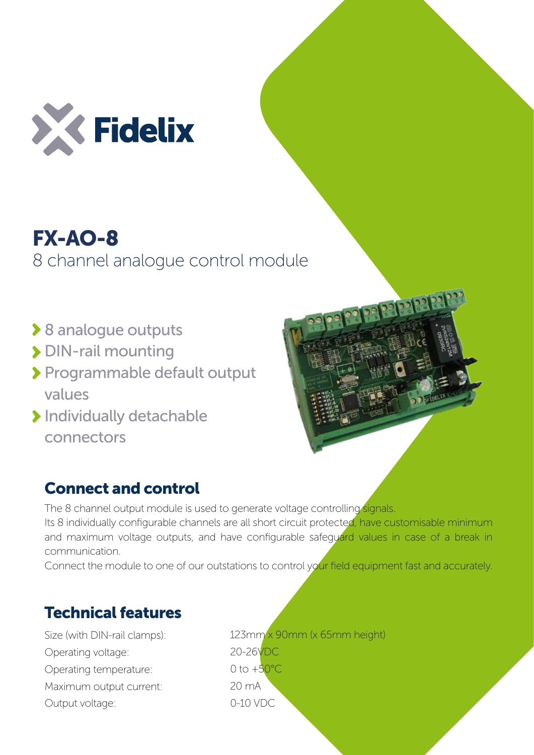

## FX-AO-8 8 channel analogue control module

- **▶ 8 analogue outputs**
- > DIN-rail mounting
- Programmable default output values
- > Individually detachable connectors



## Connect and control

The 8 channel output module is used to generate voltage controlling signals. Its 8 individually configurable channels are all short circuit protected, have customisable minimum and maximum voltage outputs, and have configurable safeguard values in case of a break in communication.

Connect the module to one of our outstations to control your field equipment fast and accurately.

## Technical features

Size (with DIN-rail clamps): Operating voltage: Operating temperature: Maximum output current: Output voltage:

123mm x 90mm (x 65mm height) 20-26VDC 0 to  $+50^{\circ}$ C 20 mA 0-10 VDC